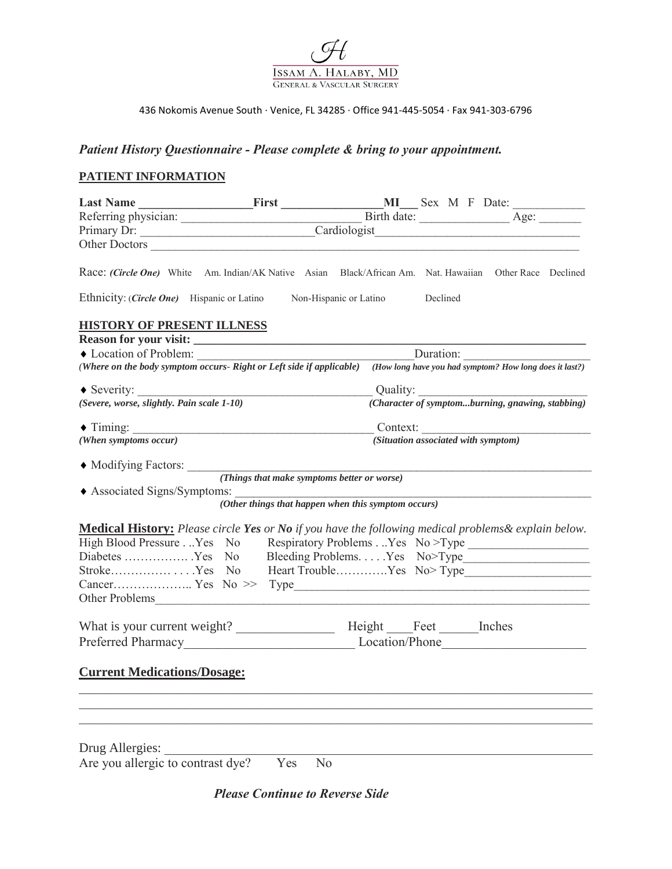

### 436 Nokomis Avenue South · Venice, FL 34285 · Office 941-445-5054 · Fax 941-303-6796

## *Patient History Questionnaire - Please complete & bring to your appointment.*

# **PATIENT INFORMATION**

| Primary Dr: Cardiologist                                                                                                     |                                                            |           |                                                     |                                                                                                                                     |  |  |  |
|------------------------------------------------------------------------------------------------------------------------------|------------------------------------------------------------|-----------|-----------------------------------------------------|-------------------------------------------------------------------------------------------------------------------------------------|--|--|--|
|                                                                                                                              |                                                            |           |                                                     |                                                                                                                                     |  |  |  |
| Race: (Circle One) White Am. Indian/AK Native Asian Black/African Am. Nat. Hawaiian Other Race Declined                      |                                                            |           |                                                     |                                                                                                                                     |  |  |  |
| Ethnicity: (Circle One) Hispanic or Latino Non-Hispanic or Latino Declined                                                   |                                                            |           |                                                     |                                                                                                                                     |  |  |  |
| <b>HISTORY OF PRESENT ILLNESS</b>                                                                                            |                                                            |           |                                                     |                                                                                                                                     |  |  |  |
|                                                                                                                              |                                                            |           |                                                     |                                                                                                                                     |  |  |  |
| Location of Problem:                                                                                                         |                                                            | Duration: |                                                     |                                                                                                                                     |  |  |  |
| (Where on the body symptom occurs- Right or Left side if applicable) (How long have you had symptom? How long does it last?) |                                                            |           |                                                     |                                                                                                                                     |  |  |  |
|                                                                                                                              |                                                            |           |                                                     |                                                                                                                                     |  |  |  |
| (Severe, worse, slightly. Pain scale 1-10)                                                                                   |                                                            |           |                                                     | $\label{eq:1} \begin{array}{l} \quad \text{Quality:} \\ \hline \text{(Character of symptomburning, grawing, stabbing)} \end{array}$ |  |  |  |
|                                                                                                                              |                                                            |           |                                                     |                                                                                                                                     |  |  |  |
| (When symptoms occur)                                                                                                        |                                                            |           |                                                     | (Situation associated with symptom)                                                                                                 |  |  |  |
| $\blacklozenge$ Modifying Factors: <i>(Things that make symptoms better or worse)</i>                                        |                                                            |           |                                                     |                                                                                                                                     |  |  |  |
|                                                                                                                              |                                                            |           |                                                     |                                                                                                                                     |  |  |  |
| ◆ Associated Signs/Symptoms:                                                                                                 |                                                            |           | (Other things that happen when this symptom occurs) |                                                                                                                                     |  |  |  |
|                                                                                                                              |                                                            |           |                                                     |                                                                                                                                     |  |  |  |
| <b>Medical History:</b> Please circle Yes or No if you have the following medical problems & explain below.                  |                                                            |           |                                                     |                                                                                                                                     |  |  |  |
| High Blood Pressure. Yes No Respiratory Problems. Yes No > Type ____________________________                                 |                                                            |           |                                                     |                                                                                                                                     |  |  |  |
|                                                                                                                              | Diabetes Yes No Bleeding ProblemsYes No>Type______________ |           |                                                     |                                                                                                                                     |  |  |  |
| StrokeYes No Heart TroubleYes No>Type______________________________                                                          |                                                            |           |                                                     |                                                                                                                                     |  |  |  |
|                                                                                                                              |                                                            |           |                                                     |                                                                                                                                     |  |  |  |
|                                                                                                                              |                                                            |           |                                                     |                                                                                                                                     |  |  |  |
|                                                                                                                              |                                                            |           |                                                     |                                                                                                                                     |  |  |  |
|                                                                                                                              |                                                            |           |                                                     |                                                                                                                                     |  |  |  |
|                                                                                                                              |                                                            |           |                                                     |                                                                                                                                     |  |  |  |
| <b>Current Medications/Dosage:</b>                                                                                           |                                                            |           |                                                     |                                                                                                                                     |  |  |  |
|                                                                                                                              |                                                            |           |                                                     |                                                                                                                                     |  |  |  |
|                                                                                                                              |                                                            |           |                                                     |                                                                                                                                     |  |  |  |
|                                                                                                                              |                                                            |           |                                                     |                                                                                                                                     |  |  |  |
| Drug Allergies:                                                                                                              |                                                            |           |                                                     |                                                                                                                                     |  |  |  |
| Are you allergic to contrast dye?                                                                                            |                                                            | Yes<br>No |                                                     |                                                                                                                                     |  |  |  |

*Please Continue to Reverse Side*